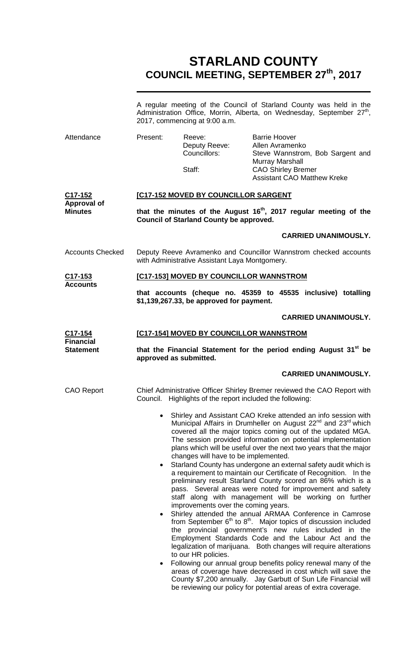## **STARLAND COUNTY COUNCIL MEETING, SEPTEMBER 27th, 2017**

|                                                              | A regular meeting of the Council of Starland County was held in the<br>Administration Office, Morrin, Alberta, on Wednesday, September 27 <sup>th</sup> ,<br>2017, commencing at 9:00 a.m. |                                                                                                                                  |                                                                                                |                                                                                                                                                                                                                                                                                                                                                                                                                                                                                                                                                                                                                                                                                                                                                                                                                                                                                          |  |
|--------------------------------------------------------------|--------------------------------------------------------------------------------------------------------------------------------------------------------------------------------------------|----------------------------------------------------------------------------------------------------------------------------------|------------------------------------------------------------------------------------------------|------------------------------------------------------------------------------------------------------------------------------------------------------------------------------------------------------------------------------------------------------------------------------------------------------------------------------------------------------------------------------------------------------------------------------------------------------------------------------------------------------------------------------------------------------------------------------------------------------------------------------------------------------------------------------------------------------------------------------------------------------------------------------------------------------------------------------------------------------------------------------------------|--|
| Attendance                                                   | Present:                                                                                                                                                                                   | Reeve:<br>Deputy Reeve:<br>Councillors:<br>Staff:                                                                                | <b>Barrie Hoover</b><br>Allen Avramenko<br><b>Murray Marshall</b><br><b>CAO Shirley Bremer</b> | Steve Wannstrom, Bob Sargent and<br><b>Assistant CAO Matthew Kreke</b>                                                                                                                                                                                                                                                                                                                                                                                                                                                                                                                                                                                                                                                                                                                                                                                                                   |  |
| C <sub>17</sub> -152<br><b>Approval of</b><br><b>Minutes</b> |                                                                                                                                                                                            | <b>[C17-152 MOVED BY COUNCILLOR SARGENT</b>                                                                                      |                                                                                                |                                                                                                                                                                                                                                                                                                                                                                                                                                                                                                                                                                                                                                                                                                                                                                                                                                                                                          |  |
|                                                              | that the minutes of the August 16 <sup>th</sup> , 2017 regular meeting of the<br><b>Council of Starland County be approved.</b>                                                            |                                                                                                                                  |                                                                                                |                                                                                                                                                                                                                                                                                                                                                                                                                                                                                                                                                                                                                                                                                                                                                                                                                                                                                          |  |
|                                                              |                                                                                                                                                                                            |                                                                                                                                  |                                                                                                | <b>CARRIED UNANIMOUSLY.</b>                                                                                                                                                                                                                                                                                                                                                                                                                                                                                                                                                                                                                                                                                                                                                                                                                                                              |  |
| <b>Accounts Checked</b>                                      | Deputy Reeve Avramenko and Councillor Wannstrom checked accounts<br>with Administrative Assistant Laya Montgomery.                                                                         |                                                                                                                                  |                                                                                                |                                                                                                                                                                                                                                                                                                                                                                                                                                                                                                                                                                                                                                                                                                                                                                                                                                                                                          |  |
| C17-153                                                      |                                                                                                                                                                                            | [C17-153] MOVED BY COUNCILLOR WANNSTROM                                                                                          |                                                                                                |                                                                                                                                                                                                                                                                                                                                                                                                                                                                                                                                                                                                                                                                                                                                                                                                                                                                                          |  |
| <b>Accounts</b>                                              | that accounts (cheque no. 45359 to 45535 inclusive) totalling<br>\$1,139,267.33, be approved for payment.                                                                                  |                                                                                                                                  |                                                                                                |                                                                                                                                                                                                                                                                                                                                                                                                                                                                                                                                                                                                                                                                                                                                                                                                                                                                                          |  |
|                                                              |                                                                                                                                                                                            |                                                                                                                                  |                                                                                                | <b>CARRIED UNANIMOUSLY.</b>                                                                                                                                                                                                                                                                                                                                                                                                                                                                                                                                                                                                                                                                                                                                                                                                                                                              |  |
| C17-154<br><b>Financial</b><br><b>Statement</b>              | [C17-154] MOVED BY COUNCILLOR WANNSTROM                                                                                                                                                    |                                                                                                                                  |                                                                                                |                                                                                                                                                                                                                                                                                                                                                                                                                                                                                                                                                                                                                                                                                                                                                                                                                                                                                          |  |
|                                                              | that the Financial Statement for the period ending August 31 <sup>st</sup> be<br>approved as submitted.                                                                                    |                                                                                                                                  |                                                                                                |                                                                                                                                                                                                                                                                                                                                                                                                                                                                                                                                                                                                                                                                                                                                                                                                                                                                                          |  |
|                                                              |                                                                                                                                                                                            |                                                                                                                                  |                                                                                                | <b>CARRIED UNANIMOUSLY.</b>                                                                                                                                                                                                                                                                                                                                                                                                                                                                                                                                                                                                                                                                                                                                                                                                                                                              |  |
| <b>CAO Report</b>                                            |                                                                                                                                                                                            | Council. Highlights of the report included the following:                                                                        |                                                                                                | Chief Administrative Officer Shirley Bremer reviewed the CAO Report with                                                                                                                                                                                                                                                                                                                                                                                                                                                                                                                                                                                                                                                                                                                                                                                                                 |  |
|                                                              | $\bullet$<br>$\bullet$                                                                                                                                                                     | changes will have to be implemented.<br>improvements over the coming years.<br>the provincial government's new rules included in |                                                                                                | Shirley and Assistant CAO Kreke attended an info session with<br>Municipal Affairs in Drumheller on August 22 <sup>nd</sup> and 23 <sup>rd</sup> which<br>covered all the major topics coming out of the updated MGA.<br>The session provided information on potential implementation<br>plans which will be useful over the next two years that the major<br>Starland County has undergone an external safety audit which is<br>a requirement to maintain our Certificate of Recognition. In the<br>preliminary result Starland County scored an 86% which is a<br>pass. Several areas were noted for improvement and safety<br>staff along with management will be working on further<br>Shirley attended the annual ARMAA Conference in Camrose<br>from September $6th$ to $8th$ . Major topics of discussion included<br>the<br>Employment Standards Code and the Labour Act and the |  |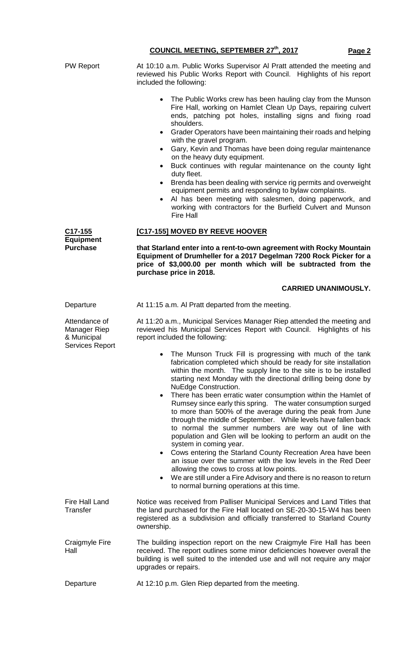PW Report **At 10:10 a.m. Public Works Supervisor AI Pratt attended the meeting and** reviewed his Public Works Report with Council. Highlights of his report included the following: The Public Works crew has been hauling clay from the Munson Fire Hall, working on Hamlet Clean Up Days, repairing culvert ends, patching pot holes, installing signs and fixing road shoulders. • Grader Operators have been maintaining their roads and helping with the gravel program. • Gary, Kevin and Thomas have been doing regular maintenance on the heavy duty equipment. Buck continues with regular maintenance on the county light duty fleet. • Brenda has been dealing with service rig permits and overweight equipment permits and responding to bylaw complaints. Al has been meeting with salesmen, doing paperwork, and working with contractors for the Burfield Culvert and Munson Fire Hall **C17-155 Equipment Purchase [C17-155] MOVED BY REEVE HOOVER that Starland enter into a rent-to-own agreement with Rocky Mountain Equipment of Drumheller for a 2017 Degelman 7200 Rock Picker for a price of \$3,000.00 per month which will be subtracted from the purchase price in 2018. CARRIED UNANIMOUSLY.** Departure **At 11:15 a.m. Al Pratt departed from the meeting.** Attendance of Manager Riep & Municipal Services Report At 11:20 a.m., Municipal Services Manager Riep attended the meeting and reviewed his Municipal Services Report with Council. Highlights of his report included the following: The Munson Truck Fill is progressing with much of the tank fabrication completed which should be ready for site installation within the month. The supply line to the site is to be installed starting next Monday with the directional drilling being done by NuEdge Construction. There has been erratic water consumption within the Hamlet of Rumsey since early this spring. The water consumption surged to more than 500% of the average during the peak from June through the middle of September. While levels have fallen back to normal the summer numbers are way out of line with population and Glen will be looking to perform an audit on the system in coming year. • Cows entering the Starland County Recreation Area have been an issue over the summer with the low levels in the Red Deer allowing the cows to cross at low points. We are still under a Fire Advisory and there is no reason to return to normal burning operations at this time. Fire Hall Land **Transfer** Notice was received from Palliser Municipal Services and Land Titles that the land purchased for the Fire Hall located on SE-20-30-15-W4 has been registered as a subdivision and officially transferred to Starland County ownership. Craigmyle Fire Hall The building inspection report on the new Craigmyle Fire Hall has been received. The report outlines some minor deficiencies however overall the building is well suited to the intended use and will not require any major upgrades or repairs. Departure **At 12:10 p.m. Glen Riep departed from the meeting.** 

**COUNCIL MEETING, SEPTEMBER 27th, 2017 Page 2**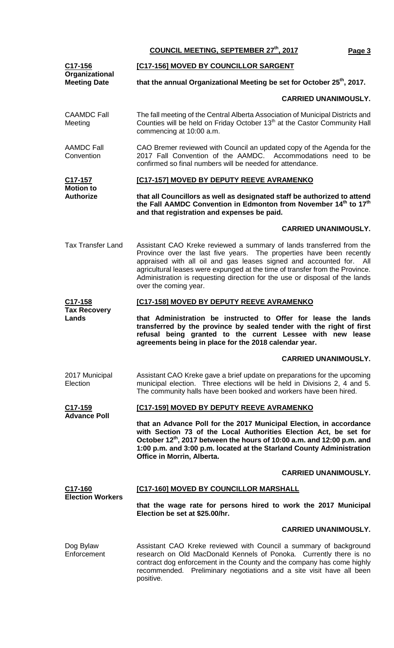**COUNCIL MEETING, SEPTEMBER 27th, 2017 Page 3**

| C17-156<br>Organizational<br><b>Meeting Date</b> | [C17-156] MOVED BY COUNCILLOR SARGENT                                                                                                                                                                                                                                                                                                                                                                            |  |  |
|--------------------------------------------------|------------------------------------------------------------------------------------------------------------------------------------------------------------------------------------------------------------------------------------------------------------------------------------------------------------------------------------------------------------------------------------------------------------------|--|--|
|                                                  | that the annual Organizational Meeting be set for October 25th, 2017.                                                                                                                                                                                                                                                                                                                                            |  |  |
|                                                  | <b>CARRIED UNANIMOUSLY.</b>                                                                                                                                                                                                                                                                                                                                                                                      |  |  |
| <b>CAAMDC Fall</b><br>Meeting                    | The fall meeting of the Central Alberta Association of Municipal Districts and<br>Counties will be held on Friday October 13 <sup>th</sup> at the Castor Community Hall<br>commencing at 10:00 a.m.                                                                                                                                                                                                              |  |  |
| <b>AAMDC Fall</b><br>Convention                  | CAO Bremer reviewed with Council an updated copy of the Agenda for the<br>2017 Fall Convention of the AAMDC. Accommodations need to be<br>confirmed so final numbers will be needed for attendance.                                                                                                                                                                                                              |  |  |
| C17-157<br><b>Motion to</b>                      | [C17-157] MOVED BY DEPUTY REEVE AVRAMENKO                                                                                                                                                                                                                                                                                                                                                                        |  |  |
| <b>Authorize</b>                                 | that all Councillors as well as designated staff be authorized to attend<br>the Fall AAMDC Convention in Edmonton from November 14 <sup>th</sup> to 17 <sup>th</sup><br>and that registration and expenses be paid.                                                                                                                                                                                              |  |  |
|                                                  | <b>CARRIED UNANIMOUSLY.</b>                                                                                                                                                                                                                                                                                                                                                                                      |  |  |
| <b>Tax Transfer Land</b>                         | Assistant CAO Kreke reviewed a summary of lands transferred from the<br>Province over the last five years. The properties have been recently<br>appraised with all oil and gas leases signed and accounted for.<br>– All<br>agricultural leases were expunged at the time of transfer from the Province.<br>Administration is requesting direction for the use or disposal of the lands<br>over the coming year. |  |  |
| C <sub>17</sub> -158                             | [C17-158] MOVED BY DEPUTY REEVE AVRAMENKO                                                                                                                                                                                                                                                                                                                                                                        |  |  |
| <b>Tax Recovery</b><br>Lands                     | that Administration be instructed to Offer for lease the lands<br>transferred by the province by sealed tender with the right of first<br>refusal being granted to the current Lessee with new lease<br>agreements being in place for the 2018 calendar year.                                                                                                                                                    |  |  |
|                                                  | <b>CARRIED UNANIMOUSLY.</b>                                                                                                                                                                                                                                                                                                                                                                                      |  |  |
| 2017 Municipal<br>Election                       | Assistant CAO Kreke gave a brief update on preparations for the upcoming<br>municipal election. Three elections will be held in Divisions 2, 4 and 5.<br>The community halls have been booked and workers have been hired.                                                                                                                                                                                       |  |  |
| C <sub>17</sub> -159<br><b>Advance Poll</b>      | [C17-159] MOVED BY DEPUTY REEVE AVRAMENKO                                                                                                                                                                                                                                                                                                                                                                        |  |  |
|                                                  | that an Advance Poll for the 2017 Municipal Election, in accordance<br>with Section 73 of the Local Authorities Election Act, be set for<br>October 12 <sup>th</sup> , 2017 between the hours of 10:00 a.m. and 12:00 p.m. and<br>1:00 p.m. and 3:00 p.m. located at the Starland County Administration<br>Office in Morrin, Alberta.                                                                            |  |  |
|                                                  | <b>CARRIED UNANIMOUSLY.</b>                                                                                                                                                                                                                                                                                                                                                                                      |  |  |
| C17-160<br><b>Election Workers</b>               | [C17-160] MOVED BY COUNCILLOR MARSHALL                                                                                                                                                                                                                                                                                                                                                                           |  |  |
|                                                  | that the wage rate for persons hired to work the 2017 Municipal<br>Election be set at \$25.00/hr.                                                                                                                                                                                                                                                                                                                |  |  |
|                                                  | <b>CARRIED UNANIMOUSLY.</b>                                                                                                                                                                                                                                                                                                                                                                                      |  |  |
| Dog Bylaw<br>Enforcement                         | Assistant CAO Kreke reviewed with Council a summary of background<br>research on Old MacDonald Kennels of Ponoka. Currently there is no<br>contract dog enforcement in the County and the company has come highly<br>recommended. Preliminary negotiations and a site visit have all been<br>positive.                                                                                                           |  |  |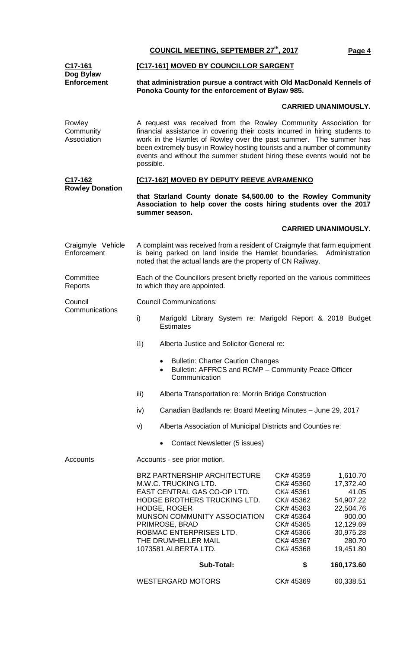**COUNCIL MEETING, SEPTEMBER 27th, 2017 Page 4 C17-161 Dog Bylaw Enforcement [C17-161] MOVED BY COUNCILLOR SARGENT that administration pursue a contract with Old MacDonald Kennels of Ponoka County for the enforcement of Bylaw 985. CARRIED UNANIMOUSLY.** Rowley **Community Association** A request was received from the Rowley Community Association for financial assistance in covering their costs incurred in hiring students to work in the Hamlet of Rowley over the past summer. The summer has been extremely busy in Rowley hosting tourists and a number of community events and without the summer student hiring these events would not be possible. **C17-162 Rowley Donation [C17-162] MOVED BY DEPUTY REEVE AVRAMENKO that Starland County donate \$4,500.00 to the Rowley Community Association to help cover the costs hiring students over the 2017 summer season. CARRIED UNANIMOUSLY.** Craigmyle Vehicle **Enforcement** A complaint was received from a resident of Craigmyle that farm equipment is being parked on land inside the Hamlet boundaries. Administration noted that the actual lands are the property of CN Railway. **Committee Reports** Each of the Councillors present briefly reported on the various committees to which they are appointed. **Council Communications** Council Communications: i) Marigold Library System re: Marigold Report & 2018 Budget **Estimates** ii) Alberta Justice and Solicitor General re: • Bulletin: Charter Caution Changes • Bulletin: AFFRCS and RCMP – Community Peace Officer **Communication** iii) Alberta Transportation re: Morrin Bridge Construction iv) Canadian Badlands re: Board Meeting Minutes – June 29, 2017 v) Alberta Association of Municipal Districts and Counties re: • Contact Newsletter (5 issues) Accounts Accounts - see prior motion. BRZ PARTNERSHIP ARCHITECTURE CK# 45359 1,610.70 M.W.C. TRUCKING LTD. CK# 45360 17,372.40 EAST CENTRAL GAS CO-OP LTD. CK# 45361 41.05 HODGE BROTHERS TRUCKING LTD. HODGE, ROGER CK# 45363 22,504.76 MUNSON COMMUNITY ASSOCIATION CK# 45364 900.00 PRIMROSE, BRAD CK# 45365 12,129.69 ROBMAC ENTERPRISES LTD. CK# 45366 30,975.28 THE DRUMHELLER MAIL CK# 45367 280.70 1073581 ALBERTA LTD. CK# 45368 19,451.80 **Sub-Total: \$ 160,173.60**

WESTERGARD MOTORS CK# 45369 60,338.51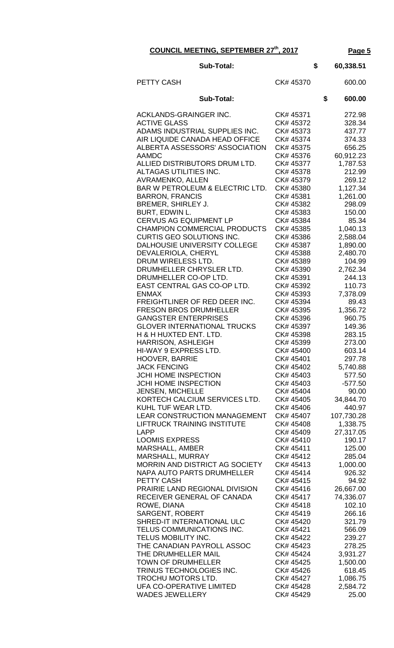**COUNCIL MEETING, SEPTEMBER 27th, 2017 Page 5**

| <b>Sub-Total:</b>                                                    |                        |    | 60,338.51              |
|----------------------------------------------------------------------|------------------------|----|------------------------|
| PETTY CASH                                                           | CK# 45370              |    | 600.00                 |
| <b>Sub-Total:</b>                                                    |                        | \$ | 600.00                 |
| ACKLANDS-GRAINGER INC.                                               | CK# 45371              |    | 272.98                 |
| <b>ACTIVE GLASS</b>                                                  | CK# 45372              |    | 328.34                 |
| ADAMS INDUSTRIAL SUPPLIES INC.                                       | CK# 45373              |    | 437.77                 |
| AIR LIQUIDE CANADA HEAD OFFICE                                       | CK# 45374              |    | 374.33                 |
| ALBERTA ASSESSORS' ASSOCIATION<br><b>AAMDC</b>                       | CK# 45375<br>CK# 45376 |    | 656.25<br>60,912.23    |
| ALLIED DISTRIBUTORS DRUM LTD.                                        | CK# 45377              |    | 1,787.53               |
| ALTAGAS UTILITIES INC.                                               | CK# 45378              |    | 212.99                 |
| AVRAMENKO, ALLEN                                                     | CK# 45379              |    | 269.12                 |
| BAR W PETROLEUM & ELECTRIC LTD.                                      | CK# 45380              |    | 1,127.34               |
| <b>BARRON, FRANCIS</b>                                               | CK# 45381              |    | 1,261.00               |
| BREMER, SHIRLEY J.                                                   | CK# 45382              |    | 298.09                 |
| BURT, EDWIN L.                                                       | CK# 45383              |    | 150.00                 |
| <b>CERVUS AG EQUIPMENT LP</b><br><b>CHAMPION COMMERCIAL PRODUCTS</b> | CK# 45384<br>CK# 45385 |    | 85.34<br>1,040.13      |
| CURTIS GEO SOLUTIONS INC.                                            | CK# 45386              |    | 2,588.04               |
| DALHOUSIE UNIVERSITY COLLEGE                                         | CK# 45387              |    | 1,890.00               |
| DEVALERIOLA, CHERYL                                                  | CK# 45388              |    | 2,480.70               |
| DRUM WIRELESS LTD.                                                   | CK# 45389              |    | 104.99                 |
| DRUMHELLER CHRYSLER LTD.                                             | CK# 45390              |    | 2,762.34               |
| DRUMHELLER CO-OP LTD.                                                | CK# 45391              |    | 244.13                 |
| EAST CENTRAL GAS CO-OP LTD.                                          | CK# 45392              |    | 110.73                 |
| <b>ENMAX</b><br>FREIGHTLINER OF RED DEER INC.                        | CK# 45393<br>CK# 45394 |    | 7,378.09<br>89.43      |
| <b>FRESON BROS DRUMHELLER</b>                                        | CK# 45395              |    | 1,356.72               |
| <b>GANGSTER ENTERPRISES</b>                                          | CK# 45396              |    | 960.75                 |
| <b>GLOVER INTERNATIONAL TRUCKS</b>                                   | CK# 45397              |    | 149.36                 |
| H & H HUXTED ENT. LTD.                                               | CK# 45398              |    | 283.15                 |
| <b>HARRISON, ASHLEIGH</b>                                            | CK# 45399              |    | 273.00                 |
| HI-WAY 9 EXPRESS LTD.                                                | CK# 45400              |    | 603.14                 |
| <b>HOOVER, BARRIE</b><br><b>JACK FENCING</b>                         | CK# 45401<br>CK# 45402 |    | 297.78<br>5,740.88     |
| <b>JCHI HOME INSPECTION</b>                                          | CK# 45403              |    | 577.50                 |
| <b>JCHI HOME INSPECTION</b>                                          | CK# 45403              |    | $-577.50$              |
| <b>JENSEN, MICHELLE</b>                                              | CK# 45404              |    | 90.00                  |
| KORTECH CALCIUM SERVICES LTD.                                        | CK# 45405              |    | 34,844.70              |
| KUHL TUF WEAR LTD.                                                   | CK# 45406              |    | 440.97                 |
| LEAR CONSTRUCTION MANAGEMENT                                         | CK# 45407              |    | 107,730.28             |
| <b>LIFTRUCK TRAINING INSTITUTE</b><br><b>LAPP</b>                    | CK# 45408<br>CK# 45409 |    | 1,338.75<br>27,317.05  |
| <b>LOOMIS EXPRESS</b>                                                | CK# 45410              |    | 190.17                 |
| MARSHALL, AMBER                                                      | CK# 45411              |    | 125.00                 |
| MARSHALL, MURRAY                                                     | CK# 45412              |    | 285.04                 |
| MORRIN AND DISTRICT AG SOCIETY                                       | CK# 45413              |    | 1,000.00               |
| NAPA AUTO PARTS DRUMHELLER                                           | CK# 45414              |    | 926.32                 |
| PETTY CASH<br>PRAIRIE LAND REGIONAL DIVISION                         | CK# 45415<br>CK# 45416 |    | 94.92                  |
| RECEIVER GENERAL OF CANADA                                           | CK# 45417              |    | 26,667.00<br>74,336.07 |
| ROWE, DIANA                                                          | CK# 45418              |    | 102.10                 |
| <b>SARGENT, ROBERT</b>                                               | CK# 45419              |    | 266.16                 |
| SHRED-IT INTERNATIONAL ULC                                           | CK# 45420              |    | 321.79                 |
| TELUS COMMUNICATIONS INC.                                            | CK# 45421              |    | 566.09                 |
| TELUS MOBILITY INC.                                                  | CK# 45422              |    | 239.27                 |
| THE CANADIAN PAYROLL ASSOC<br>THE DRUMHELLER MAIL                    | CK# 45423<br>CK# 45424 |    | 278.25<br>3,931.27     |
| <b>TOWN OF DRUMHELLER</b>                                            | CK# 45425              |    | 1,500.00               |
| TRINUS TECHNOLOGIES INC.                                             | CK# 45426              |    | 618.45                 |
| TROCHU MOTORS LTD.                                                   | CK# 45427              |    | 1,086.75               |
| <b>UFA CO-OPERATIVE LIMITED</b>                                      | CK# 45428              |    | 2,584.72               |
| <b>WADES JEWELLERY</b>                                               | CK# 45429              |    | 25.00                  |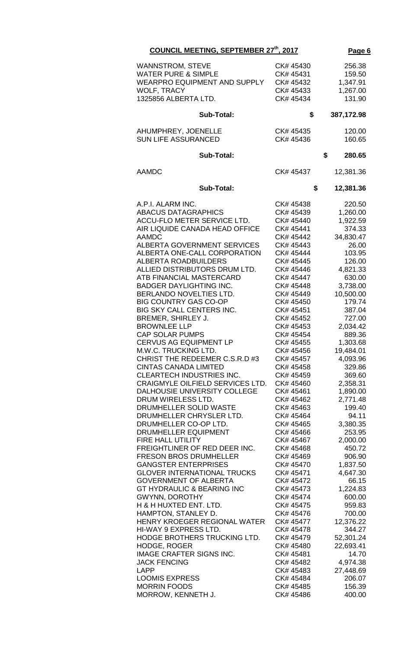| COUNCIL MEETING, SEPTEMBER 27th, 2017                          | Page 6                 |                  |
|----------------------------------------------------------------|------------------------|------------------|
| <b>WANNSTROM, STEVE</b>                                        | CK# 45430              | 256.38           |
| <b>WATER PURE &amp; SIMPLE</b>                                 | CK# 45431              | 159.50           |
| WEARPRO EQUIPMENT AND SUPPLY                                   | CK# 45432              | 1,347.91         |
| WOLF, TRACY                                                    | CK# 45433              | 1,267.00         |
| 1325856 ALBERTA LTD.                                           | CK# 45434              | 131.90           |
| Sub-Total:                                                     | \$                     | 387,172.98       |
| AHUMPHREY, JOENELLE                                            | CK# 45435              | 120.00           |
| <b>SUN LIFE ASSURANCED</b>                                     | CK# 45436              | 160.65           |
| <b>Sub-Total:</b>                                              |                        | \$<br>280.65     |
| <b>AAMDC</b>                                                   | CK# 45437              | 12,381.36        |
| <b>Sub-Total:</b>                                              | \$                     | 12,381.36        |
| A.P.I. ALARM INC.                                              | CK# 45438              | 220.50           |
| <b>ABACUS DATAGRAPHICS</b>                                     | CK# 45439              | 1,260.00         |
| ACCU-FLO METER SERVICE LTD.                                    | CK# 45440              | 1,922.59         |
| AIR LIQUIDE CANADA HEAD OFFICE                                 | CK# 45441              | 374.33           |
| <b>AAMDC</b>                                                   | CK# 45442              | 34,830.47        |
| ALBERTA GOVERNMENT SERVICES                                    | CK# 45443              | 26.00            |
| ALBERTA ONE-CALL CORPORATION                                   | CK# 45444              | 103.95           |
| <b>ALBERTA ROADBUILDERS</b>                                    | CK# 45445              | 126.00           |
| ALLIED DISTRIBUTORS DRUM LTD.                                  | CK# 45446              | 4,821.33         |
| ATB FINANCIAL MASTERCARD                                       | CK# 45447              | 630.00           |
| <b>BADGER DAYLIGHTING INC.</b>                                 | CK# 45448              | 3,738.00         |
| BERLANDO NOVELTIES LTD.                                        | CK# 45449              | 10,500.00        |
| <b>BIG COUNTRY GAS CO-OP</b>                                   | CK# 45450              | 179.74           |
| BIG SKY CALL CENTERS INC.                                      | CK# 45451              | 387.04           |
| BREMER, SHIRLEY J.                                             | CK# 45452              | 727.00           |
| <b>BROWNLEE LLP</b>                                            | CK# 45453              | 2,034.42         |
| CAP SOLAR PUMPS                                                | CK# 45454              | 889.36           |
| <b>CERVUS AG EQUIPMENT LP</b>                                  | CK# 45455              | 1,303.68         |
| M.W.C. TRUCKING LTD.                                           | CK# 45456              | 19,484.01        |
| CHRIST THE REDEEMER C.S.R.D #3<br><b>CINTAS CANADA LIMITED</b> | CK# 45457<br>CK# 45458 | 4,093.96         |
| CLEARTECH INDUSTRIES INC.                                      | CK# 45459              | 329.86<br>369.60 |
| CRAIGMYLE OILFIELD SERVICES LTD.                               | CK# 45460              | 2,358.31         |
| DALHOUSIE UNIVERSITY COLLEGE                                   | CK# 45461              | 1,890.00         |
| DRUM WIRELESS LTD.                                             | CK# 45462              | 2,771.48         |
| DRUMHELLER SOLID WASTE                                         | CK# 45463              | 199.40           |
| DRUMHELLER CHRYSLER LTD.                                       | CK# 45464              | 94.11            |
| DRUMHELLER CO-OP LTD.                                          | CK# 45465              | 3,380.35         |
| DRUMHELLER EQUIPMENT                                           | CK# 45466              | 253.95           |
| FIRE HALL UTILITY                                              | CK# 45467              | 2,000.00         |
| FREIGHTLINER OF RED DEER INC.                                  | CK# 45468              | 450.72           |
| <b>FRESON BROS DRUMHELLER</b>                                  | CK# 45469              | 906.90           |
| <b>GANGSTER ENTERPRISES</b>                                    | CK# 45470              | 1,837.50         |
| <b>GLOVER INTERNATIONAL TRUCKS</b>                             | CK# 45471              | 4,647.30         |
| <b>GOVERNMENT OF ALBERTA</b>                                   | CK# 45472              | 66.15            |
| <b>GT HYDRAULIC &amp; BEARING INC</b>                          | CK# 45473              | 1,224.83         |
| GWYNN, DOROTHY                                                 | CK# 45474              | 600.00           |
| H & H HUXTED ENT. LTD.                                         | CK# 45475              | 959.83           |
| HAMPTON, STANLEY D.                                            | CK# 45476              | 700.00           |
| HENRY KROEGER REGIONAL WATER                                   | CK# 45477              | 12,376.22        |
| HI-WAY 9 EXPRESS LTD.                                          | CK# 45478              | 344.27           |
| HODGE BROTHERS TRUCKING LTD.                                   | CK# 45479              | 52,301.24        |
| HODGE, ROGER                                                   | CK# 45480              | 22,693.41        |
| <b>IMAGE CRAFTER SIGNS INC.</b>                                | CK# 45481              | 14.70            |
| <b>JACK FENCING</b>                                            | CK# 45482              | 4,974.38         |
| <b>LAPP</b>                                                    | CK# 45483              | 27,448.69        |
| <b>LOOMIS EXPRESS</b>                                          | CK# 45484              | 206.07           |
| <b>MORRIN FOODS</b>                                            | CK# 45485              | 156.39           |
| MORROW, KENNETH J.                                             | CK# 45486              | 400.00           |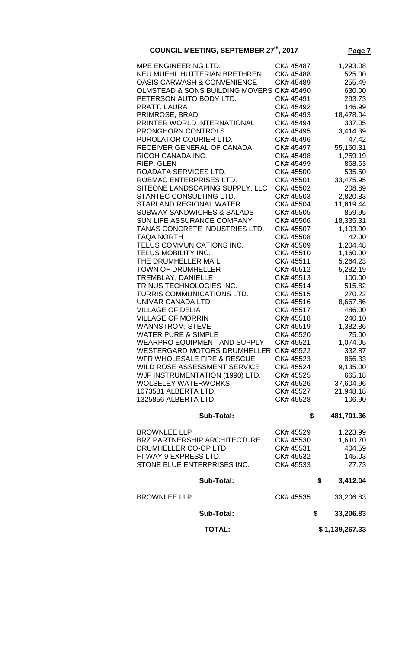| <b>COUNCIL MEETING, SEPTEMBER 27th, 2017</b>                                                                                                                                                                                                                                                                                                                                                                                                                                                                                                                                                                                                                                                                                                                                                                                                                                                                                                                                                                                                                         |                                                                                                                                                                                                                                                                                                                                                                                                                                                        | Page 7                                                                                                                                                                                                                                                                                                                                                                                                   |
|----------------------------------------------------------------------------------------------------------------------------------------------------------------------------------------------------------------------------------------------------------------------------------------------------------------------------------------------------------------------------------------------------------------------------------------------------------------------------------------------------------------------------------------------------------------------------------------------------------------------------------------------------------------------------------------------------------------------------------------------------------------------------------------------------------------------------------------------------------------------------------------------------------------------------------------------------------------------------------------------------------------------------------------------------------------------|--------------------------------------------------------------------------------------------------------------------------------------------------------------------------------------------------------------------------------------------------------------------------------------------------------------------------------------------------------------------------------------------------------------------------------------------------------|----------------------------------------------------------------------------------------------------------------------------------------------------------------------------------------------------------------------------------------------------------------------------------------------------------------------------------------------------------------------------------------------------------|
| MPE ENGINEERING LTD.<br>NEU MUEHL HUTTERIAN BRETHREN<br><b>OASIS CARWASH &amp; CONVENIENCE</b><br>OLMSTEAD & SONS BUILDING MOVERS CK# 45490<br>PETERSON AUTO BODY LTD.<br>PRATT, LAURA<br>PRIMROSE, BRAD<br>PRINTER WORLD INTERNATIONAL<br><b>PRONGHORN CONTROLS</b><br>PUROLATOR COURIER LTD.<br>RECEIVER GENERAL OF CANADA<br>RICOH CANADA INC.<br>RIEP, GLEN<br>ROADATA SERVICES LTD.<br>ROBMAC ENTERPRISES LTD.<br>SITEONE LANDSCAPING SUPPLY, LLC<br>STANTEC CONSULTING LTD.<br><b>STARLAND REGIONAL WATER</b><br><b>SUBWAY SANDWICHES &amp; SALADS</b><br>SUN LIFE ASSURANCE COMPANY<br>TANAS CONCRETE INDUSTRIES LTD.<br><b>TAQA NORTH</b><br>TELUS COMMUNICATIONS INC.<br>TELUS MOBILITY INC.<br>THE DRUMHELLER MAIL<br><b>TOWN OF DRUMHELLER</b><br>TREMBLAY, DANIELLE<br>TRINUS TECHNOLOGIES INC.<br>TURRIS COMMUNICATIONS LTD.<br>UNIVAR CANADA LTD.<br><b>VILLAGE OF DELIA</b><br><b>VILLAGE OF MORRIN</b><br><b>WANNSTROM, STEVE</b><br><b>WATER PURE &amp; SIMPLE</b><br><b>WEARPRO EQUIPMENT AND SUPPLY</b><br>WESTERGARD MOTORS DRUMHELLER CK# 45522 | CK# 45487<br>CK# 45488<br>CK# 45489<br>CK# 45491<br>CK# 45492<br>CK# 45493<br>CK# 45494<br>CK# 45495<br>CK# 45496<br>CK# 45497<br>CK# 45498<br>CK# 45499<br>CK# 45500<br>CK# 45501<br>CK# 45502<br>CK# 45503<br>CK# 45504<br>CK# 45505<br>CK# 45506<br>CK# 45507<br>CK# 45508<br>CK# 45509<br>CK# 45510<br>CK# 45511<br>CK# 45512<br>CK# 45513<br>CK# 45514<br>CK# 45515<br>CK# 45516<br>CK# 45517<br>CK# 45518<br>CK# 45519<br>CK# 45520<br>CK# 45521 | 1,293.08<br>525.00<br>255.49<br>630.00<br>293.73<br>146.99<br>18,478.04<br>337.05<br>3,414.39<br>47.42<br>55,160.31<br>1,259.19<br>868.63<br>535.50<br>33,475.95<br>208.89<br>2,820.83<br>11,619.44<br>859.95<br>18,335.31<br>1,103.90<br>42.00<br>1,204.48<br>1,160.00<br>5,264.23<br>5,282.19<br>100.00<br>515.82<br>270.22<br>8,667.86<br>486.00<br>240.10<br>1,382.86<br>75.00<br>1,074.05<br>332.87 |
|                                                                                                                                                                                                                                                                                                                                                                                                                                                                                                                                                                                                                                                                                                                                                                                                                                                                                                                                                                                                                                                                      |                                                                                                                                                                                                                                                                                                                                                                                                                                                        |                                                                                                                                                                                                                                                                                                                                                                                                          |
| WFR WHOLESALE FIRE & RESCUE<br>WILD ROSE ASSESSMENT SERVICE<br>WJF INSTRUMENTATION (1990) LTD.<br><b>WOLSELEY WATERWORKS</b><br>1073581 ALBERTA LTD.<br>1325856 ALBERTA LTD.                                                                                                                                                                                                                                                                                                                                                                                                                                                                                                                                                                                                                                                                                                                                                                                                                                                                                         | CK# 45523<br>CK# 45524<br>CK# 45525<br>CK# 45526<br>CK# 45527<br>CK# 45528                                                                                                                                                                                                                                                                                                                                                                             | 866.33<br>9,135.00<br>665.18<br>37,604.96<br>21,948.18<br>106.90                                                                                                                                                                                                                                                                                                                                         |
| <b>Sub-Total:</b>                                                                                                                                                                                                                                                                                                                                                                                                                                                                                                                                                                                                                                                                                                                                                                                                                                                                                                                                                                                                                                                    | \$                                                                                                                                                                                                                                                                                                                                                                                                                                                     | 481,701.36                                                                                                                                                                                                                                                                                                                                                                                               |
| <b>BROWNLEE LLP</b><br><b>BRZ PARTNERSHIP ARCHITECTURE</b><br>DRUMHELLER CO-OP LTD.<br>HI-WAY 9 EXPRESS LTD.<br>STONE BLUE ENTERPRISES INC.                                                                                                                                                                                                                                                                                                                                                                                                                                                                                                                                                                                                                                                                                                                                                                                                                                                                                                                          | CK# 45529<br>CK# 45530<br>CK# 45531<br>CK# 45532<br>CK# 45533                                                                                                                                                                                                                                                                                                                                                                                          | 1,223.99<br>1,610.70<br>404.59<br>145.03<br>27.73                                                                                                                                                                                                                                                                                                                                                        |
| <b>Sub-Total:</b>                                                                                                                                                                                                                                                                                                                                                                                                                                                                                                                                                                                                                                                                                                                                                                                                                                                                                                                                                                                                                                                    |                                                                                                                                                                                                                                                                                                                                                                                                                                                        | \$<br>3,412.04                                                                                                                                                                                                                                                                                                                                                                                           |
| <b>BROWNLEE LLP</b>                                                                                                                                                                                                                                                                                                                                                                                                                                                                                                                                                                                                                                                                                                                                                                                                                                                                                                                                                                                                                                                  | CK# 45535                                                                                                                                                                                                                                                                                                                                                                                                                                              | 33,206.83                                                                                                                                                                                                                                                                                                                                                                                                |
| <b>Sub-Total:</b>                                                                                                                                                                                                                                                                                                                                                                                                                                                                                                                                                                                                                                                                                                                                                                                                                                                                                                                                                                                                                                                    |                                                                                                                                                                                                                                                                                                                                                                                                                                                        | \$<br>33,206.83                                                                                                                                                                                                                                                                                                                                                                                          |
| <b>TOTAL:</b>                                                                                                                                                                                                                                                                                                                                                                                                                                                                                                                                                                                                                                                                                                                                                                                                                                                                                                                                                                                                                                                        |                                                                                                                                                                                                                                                                                                                                                                                                                                                        | \$1,139,267.33                                                                                                                                                                                                                                                                                                                                                                                           |